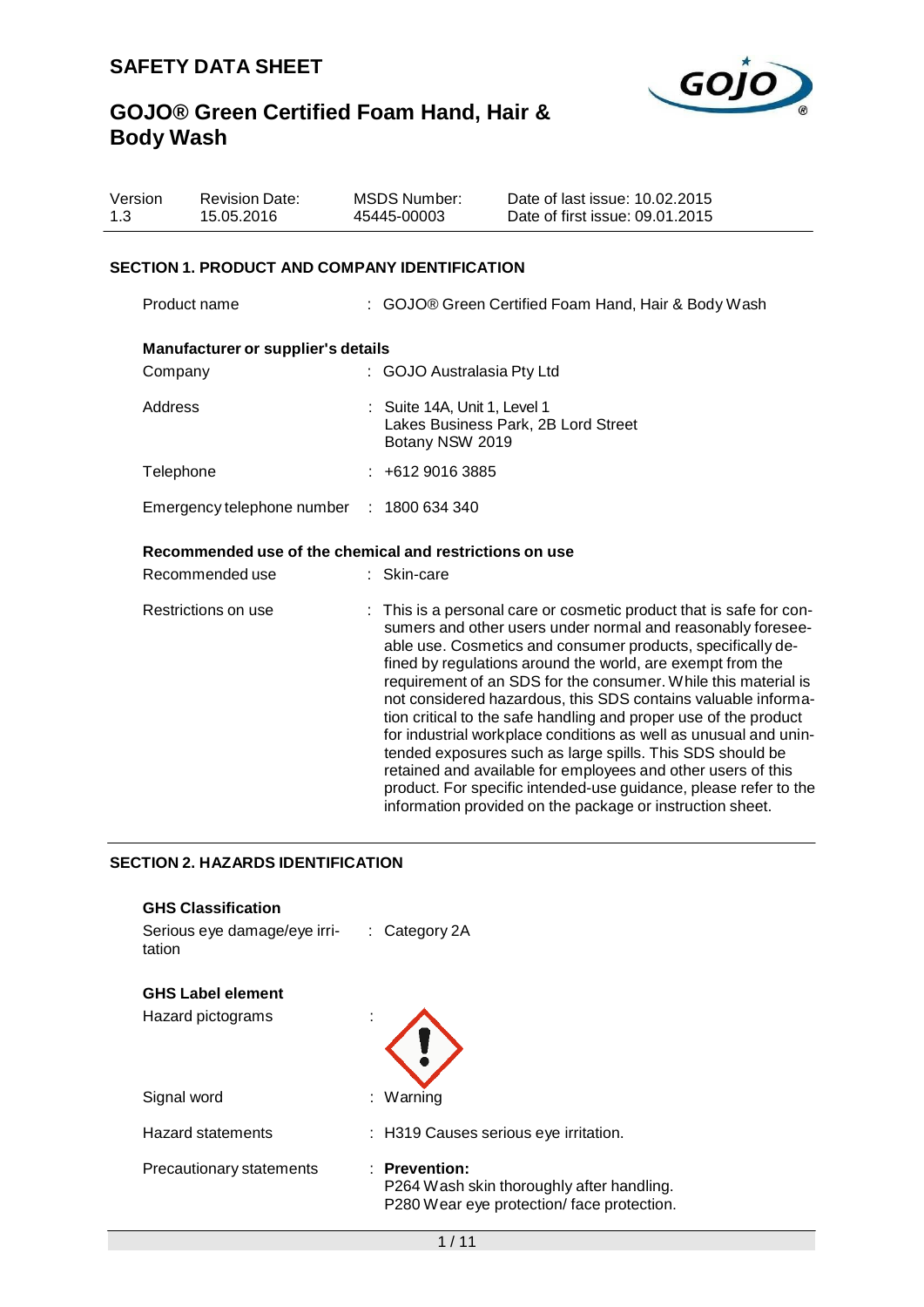

| Version<br>1.3                            | <b>Revision Date:</b><br>15.05.2016                     | 45445-00003 | <b>MSDS Number:</b>                                                                    | Date of last issue: 10.02.2015<br>Date of first issue: 09.01.2015                                                                                                                                                                                                                                                                                                                                                                                                                                                                                                                                                                                                                                                                                                                                        |  |
|-------------------------------------------|---------------------------------------------------------|-------------|----------------------------------------------------------------------------------------|----------------------------------------------------------------------------------------------------------------------------------------------------------------------------------------------------------------------------------------------------------------------------------------------------------------------------------------------------------------------------------------------------------------------------------------------------------------------------------------------------------------------------------------------------------------------------------------------------------------------------------------------------------------------------------------------------------------------------------------------------------------------------------------------------------|--|
|                                           | <b>SECTION 1. PRODUCT AND COMPANY IDENTIFICATION</b>    |             |                                                                                        |                                                                                                                                                                                                                                                                                                                                                                                                                                                                                                                                                                                                                                                                                                                                                                                                          |  |
|                                           | Product name                                            |             |                                                                                        | : GOJO® Green Certified Foam Hand, Hair & Body Wash                                                                                                                                                                                                                                                                                                                                                                                                                                                                                                                                                                                                                                                                                                                                                      |  |
|                                           | Manufacturer or supplier's details                      |             |                                                                                        |                                                                                                                                                                                                                                                                                                                                                                                                                                                                                                                                                                                                                                                                                                                                                                                                          |  |
|                                           | Company                                                 |             | : GOJO Australasia Pty Ltd                                                             |                                                                                                                                                                                                                                                                                                                                                                                                                                                                                                                                                                                                                                                                                                                                                                                                          |  |
|                                           | Address                                                 |             | : Suite 14A, Unit 1, Level 1<br>Lakes Business Park, 2B Lord Street<br>Botany NSW 2019 |                                                                                                                                                                                                                                                                                                                                                                                                                                                                                                                                                                                                                                                                                                                                                                                                          |  |
| Telephone                                 |                                                         |             | $: +61290163885$                                                                       |                                                                                                                                                                                                                                                                                                                                                                                                                                                                                                                                                                                                                                                                                                                                                                                                          |  |
| Emergency telephone number : 1800 634 340 |                                                         |             |                                                                                        |                                                                                                                                                                                                                                                                                                                                                                                                                                                                                                                                                                                                                                                                                                                                                                                                          |  |
|                                           | Recommended use of the chemical and restrictions on use |             |                                                                                        |                                                                                                                                                                                                                                                                                                                                                                                                                                                                                                                                                                                                                                                                                                                                                                                                          |  |
|                                           | Recommended use                                         |             | : Skin-care                                                                            |                                                                                                                                                                                                                                                                                                                                                                                                                                                                                                                                                                                                                                                                                                                                                                                                          |  |
|                                           | Restrictions on use                                     |             |                                                                                        | : This is a personal care or cosmetic product that is safe for con-<br>sumers and other users under normal and reasonably foresee-<br>able use. Cosmetics and consumer products, specifically de-<br>fined by regulations around the world, are exempt from the<br>requirement of an SDS for the consumer. While this material is<br>not considered hazardous, this SDS contains valuable informa-<br>tion critical to the safe handling and proper use of the product<br>for industrial workplace conditions as well as unusual and unin-<br>tended exposures such as large spills. This SDS should be<br>retained and available for employees and other users of this<br>product. For specific intended-use guidance, please refer to the<br>information provided on the package or instruction sheet. |  |

## **SECTION 2. HAZARDS IDENTIFICATION**

| <b>GHS Classification</b><br>Serious eye damage/eye irri-<br>tation | $\therefore$ Category 2A                                                                                  |
|---------------------------------------------------------------------|-----------------------------------------------------------------------------------------------------------|
| <b>GHS Label element</b>                                            |                                                                                                           |
| Hazard pictograms                                                   | ×.                                                                                                        |
| Signal word                                                         | : Warning                                                                                                 |
| <b>Hazard statements</b>                                            | : H319 Causes serious eye irritation.                                                                     |
| Precautionary statements                                            | $:$ Prevention:<br>P264 Wash skin thoroughly after handling.<br>P280 Wear eye protection/face protection. |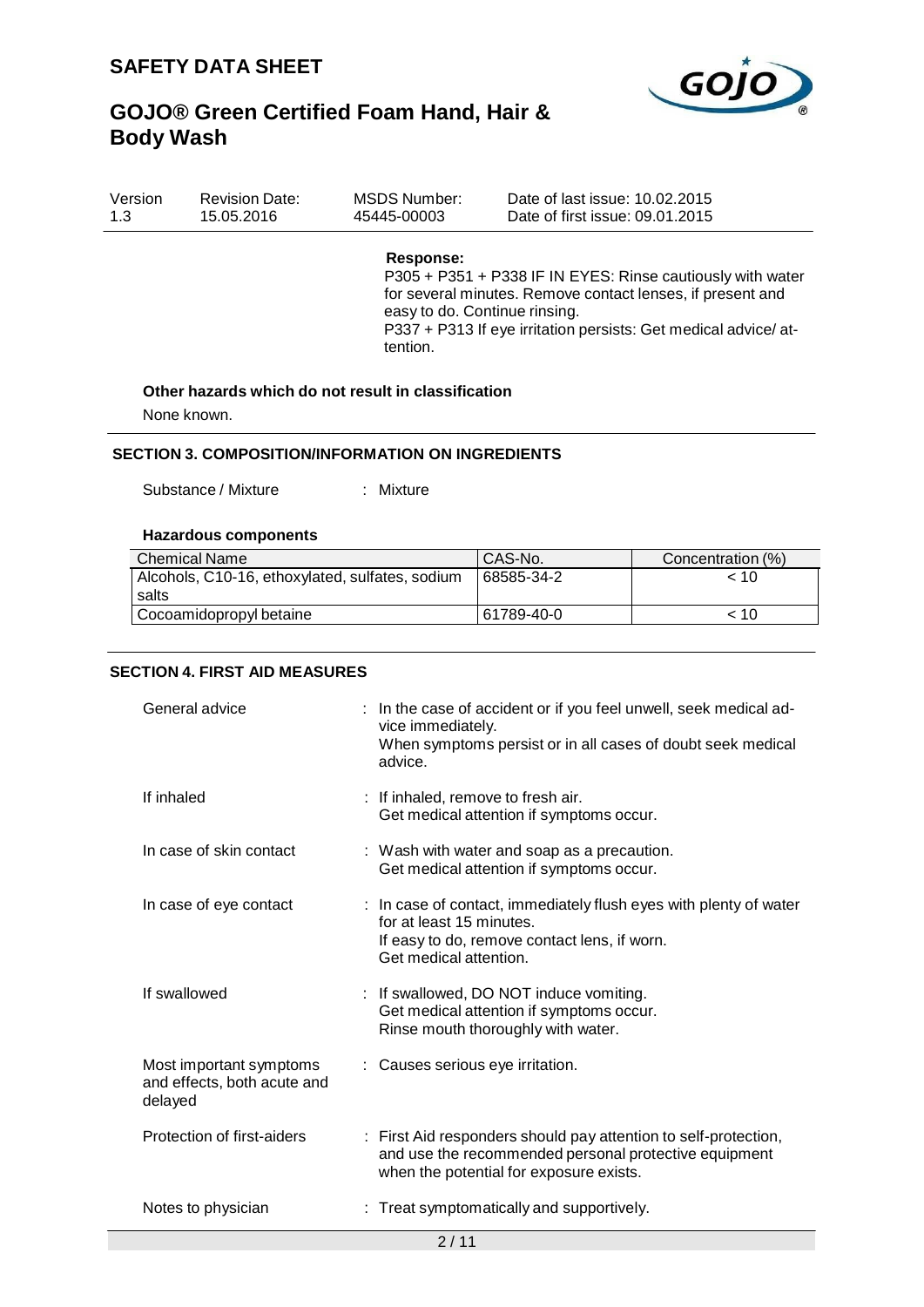

| Version | <b>Revision Date:</b> | MSDS Number: | Date of last issue: 10.02.2015  |
|---------|-----------------------|--------------|---------------------------------|
| 1.3     | 15.05.2016            | 45445-00003  | Date of first issue: 09.01.2015 |

## **Response:**

P305 + P351 + P338 IF IN EYES: Rinse cautiously with water for several minutes. Remove contact lenses, if present and easy to do. Continue rinsing. P337 + P313 If eye irritation persists: Get medical advice/ attention.

## **Other hazards which do not result in classification**

None known.

#### **SECTION 3. COMPOSITION/INFORMATION ON INGREDIENTS**

Substance / Mixture : Mixture :

#### **Hazardous components**

| <b>Chemical Name</b>                            | CAS-No.    | Concentration (%) |
|-------------------------------------------------|------------|-------------------|
| Alcohols, C10-16, ethoxylated, sulfates, sodium | 68585-34-2 | < 10              |
| l salts                                         |            |                   |
| Cocoamidopropyl betaine                         | 61789-40-0 | ~< 10             |

#### **SECTION 4. FIRST AID MEASURES**

| General advice<br>vice immediately.<br>advice.                    | : In the case of accident or if you feel unwell, seek medical ad-<br>When symptoms persist or in all cases of doubt seek medical                                    |
|-------------------------------------------------------------------|---------------------------------------------------------------------------------------------------------------------------------------------------------------------|
| If inhaled                                                        | : If inhaled, remove to fresh air.<br>Get medical attention if symptoms occur.                                                                                      |
| In case of skin contact                                           | : Wash with water and soap as a precaution.<br>Get medical attention if symptoms occur.                                                                             |
| In case of eye contact<br>Get medical attention.                  | : In case of contact, immediately flush eyes with plenty of water<br>for at least 15 minutes.<br>If easy to do, remove contact lens, if worn.                       |
| If swallowed                                                      | : If swallowed, DO NOT induce vomiting.<br>Get medical attention if symptoms occur.<br>Rinse mouth thoroughly with water.                                           |
| Most important symptoms<br>and effects, both acute and<br>delayed | : Causes serious eye irritation.                                                                                                                                    |
| Protection of first-aiders                                        | : First Aid responders should pay attention to self-protection,<br>and use the recommended personal protective equipment<br>when the potential for exposure exists. |
| Notes to physician                                                | : Treat symptomatically and supportively.<br>0/11                                                                                                                   |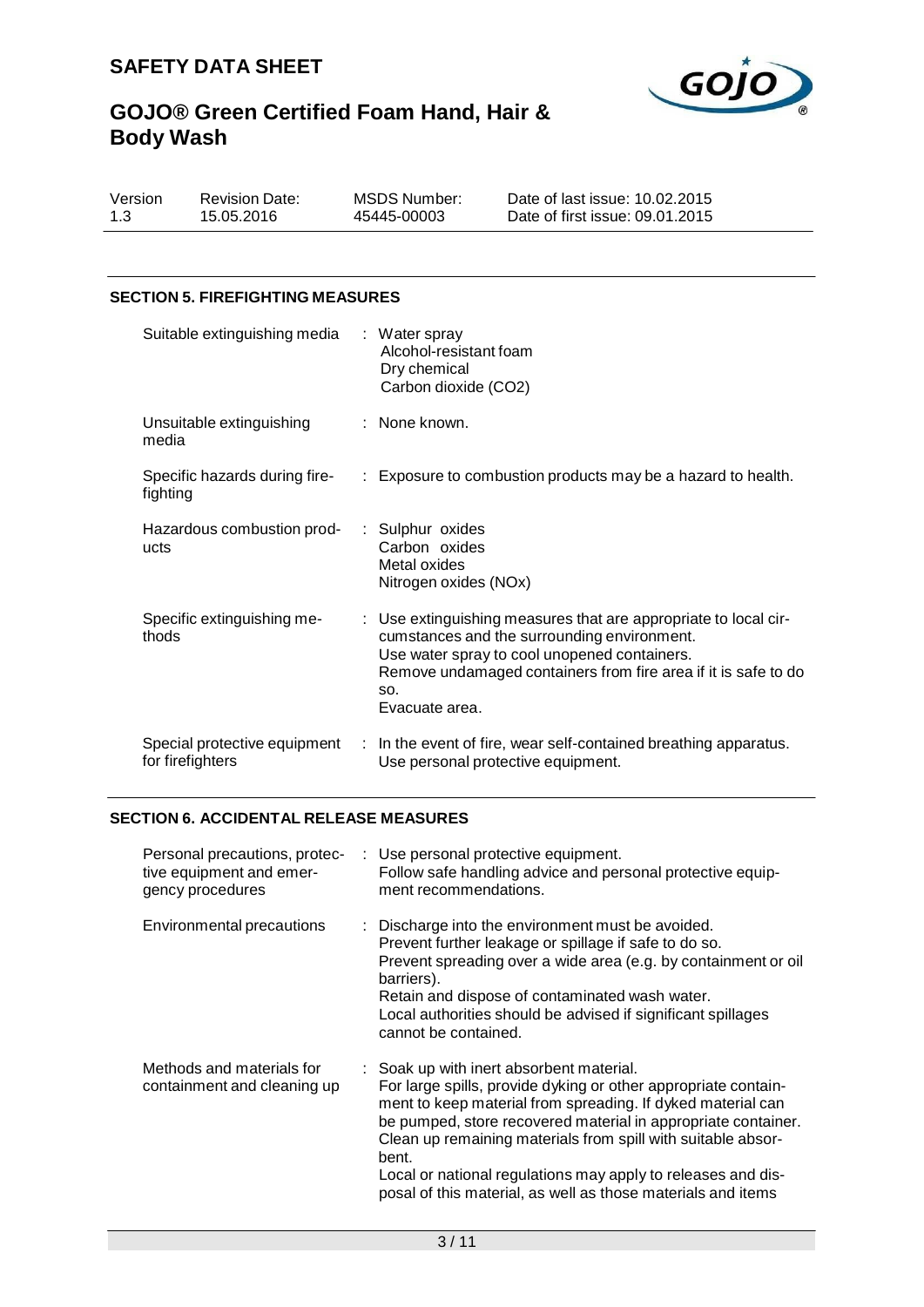

Version 1.3 Revision Date: 15.05.2016

MSDS Number: 45445-00003

Date of last issue: 10.02.2015 Date of first issue: 09.01.2015

## **SECTION 5. FIREFIGHTING MEASURES**

| Suitable extinguishing media                     | : Water spray<br>Alcohol-resistant foam<br>Dry chemical<br>Carbon dioxide (CO2)                                                                                                                                                                           |
|--------------------------------------------------|-----------------------------------------------------------------------------------------------------------------------------------------------------------------------------------------------------------------------------------------------------------|
| Unsuitable extinguishing<br>media                | : None known.                                                                                                                                                                                                                                             |
| Specific hazards during fire-<br>fighting        | : Exposure to combustion products may be a hazard to health.                                                                                                                                                                                              |
| Hazardous combustion prod-<br>ucts               | : Sulphur oxides<br>Carbon oxides<br>Metal oxides<br>Nitrogen oxides (NOx)                                                                                                                                                                                |
| Specific extinguishing me-<br>thods              | : Use extinguishing measures that are appropriate to local cir-<br>cumstances and the surrounding environment.<br>Use water spray to cool unopened containers.<br>Remove undamaged containers from fire area if it is safe to do<br>SO.<br>Evacuate area. |
| Special protective equipment<br>for firefighters | : In the event of fire, wear self-contained breathing apparatus.<br>Use personal protective equipment.                                                                                                                                                    |

## **SECTION 6. ACCIDENTAL RELEASE MEASURES**

| Personal precautions, protec-<br>tive equipment and emer-<br>gency procedures | : Use personal protective equipment.<br>Follow safe handling advice and personal protective equip-<br>ment recommendations.                                                                                                                                                                                                                                                                                                                         |
|-------------------------------------------------------------------------------|-----------------------------------------------------------------------------------------------------------------------------------------------------------------------------------------------------------------------------------------------------------------------------------------------------------------------------------------------------------------------------------------------------------------------------------------------------|
| Environmental precautions                                                     | $\therefore$ Discharge into the environment must be avoided.<br>Prevent further leakage or spillage if safe to do so.<br>Prevent spreading over a wide area (e.g. by containment or oil<br>barriers).<br>Retain and dispose of contaminated wash water.<br>Local authorities should be advised if significant spillages<br>cannot be contained.                                                                                                     |
| Methods and materials for<br>containment and cleaning up                      | : Soak up with inert absorbent material.<br>For large spills, provide dyking or other appropriate contain-<br>ment to keep material from spreading. If dyked material can<br>be pumped, store recovered material in appropriate container.<br>Clean up remaining materials from spill with suitable absor-<br>bent.<br>Local or national regulations may apply to releases and dis-<br>posal of this material, as well as those materials and items |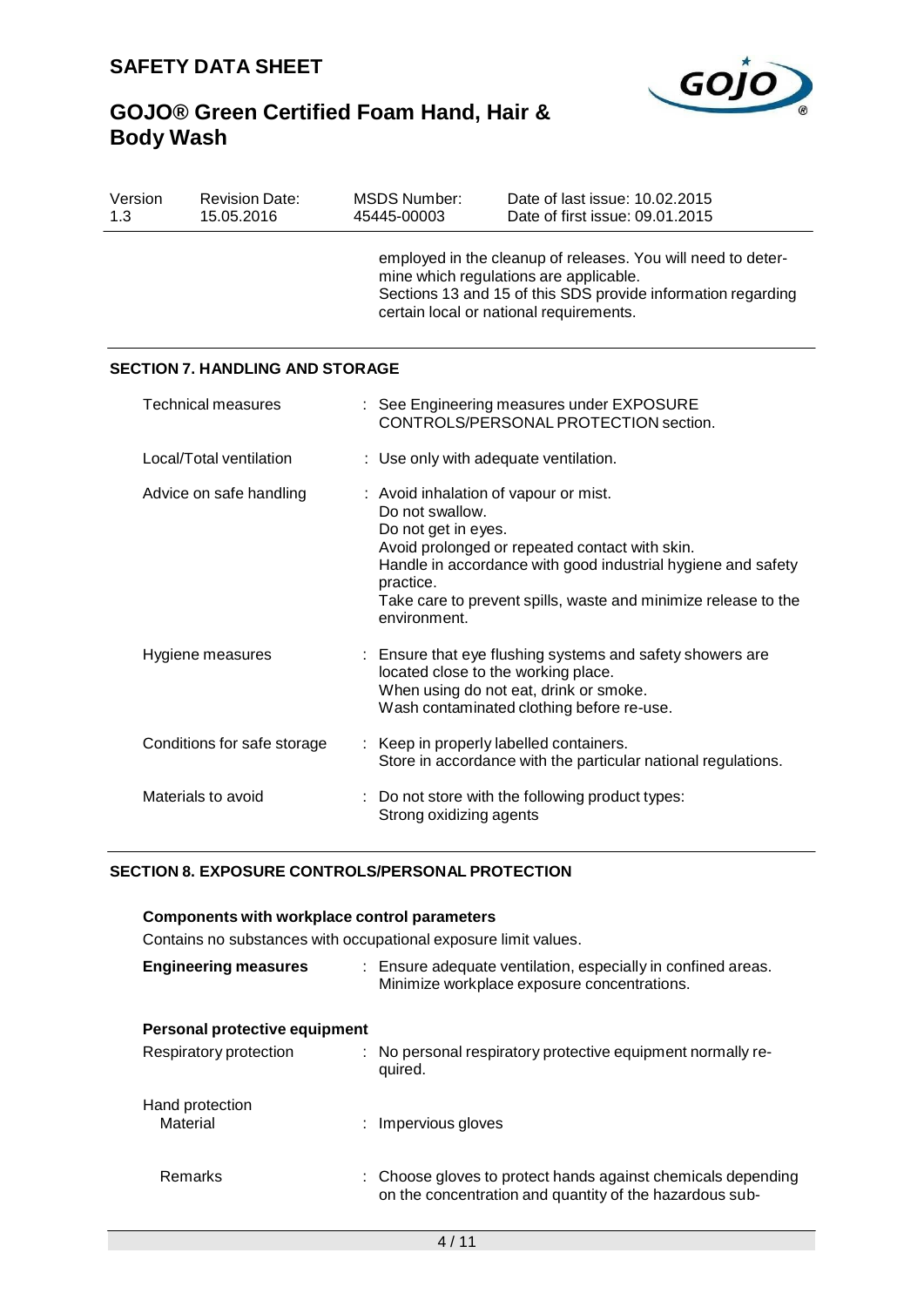

| Version<br>1.3 | <b>Revision Date:</b><br>15.05.2016    | <b>MSDS Number:</b><br>45445-00003                                  | Date of last issue: 10.02.2015<br>Date of first issue: 09.01.2015                                                                                                                                                         |
|----------------|----------------------------------------|---------------------------------------------------------------------|---------------------------------------------------------------------------------------------------------------------------------------------------------------------------------------------------------------------------|
|                |                                        |                                                                     | employed in the cleanup of releases. You will need to deter-<br>mine which regulations are applicable.<br>Sections 13 and 15 of this SDS provide information regarding<br>certain local or national requirements.         |
|                | <b>SECTION 7. HANDLING AND STORAGE</b> |                                                                     |                                                                                                                                                                                                                           |
|                | <b>Technical measures</b>              |                                                                     | See Engineering measures under EXPOSURE<br>CONTROLS/PERSONAL PROTECTION section.                                                                                                                                          |
|                | Local/Total ventilation                |                                                                     | : Use only with adequate ventilation.                                                                                                                                                                                     |
|                | Advice on safe handling                | Do not swallow.<br>Do not get in eyes.<br>practice.<br>environment. | : Avoid inhalation of vapour or mist.<br>Avoid prolonged or repeated contact with skin.<br>Handle in accordance with good industrial hygiene and safety<br>Take care to prevent spills, waste and minimize release to the |
|                | Hygiene measures                       |                                                                     | : Ensure that eye flushing systems and safety showers are<br>located close to the working place.<br>When using do not eat, drink or smoke.<br>Wash contaminated clothing before re-use.                                   |
|                | Conditions for safe storage            |                                                                     | Keep in properly labelled containers.<br>Store in accordance with the particular national regulations.                                                                                                                    |
|                | Materials to avoid                     | Strong oxidizing agents                                             | Do not store with the following product types:                                                                                                                                                                            |

## **SECTION 8. EXPOSURE CONTROLS/PERSONAL PROTECTION**

### **Components with workplace control parameters**

Contains no substances with occupational exposure limit values.

| <b>Engineering measures</b>   | : Ensure adequate ventilation, especially in confined areas.<br>Minimize workplace exposure concentrations.             |
|-------------------------------|-------------------------------------------------------------------------------------------------------------------------|
| Personal protective equipment |                                                                                                                         |
| Respiratory protection        | : No personal respiratory protective equipment normally re-<br>quired.                                                  |
| Hand protection<br>Material   | : Impervious gloves                                                                                                     |
| <b>Remarks</b>                | : Choose gloves to protect hands against chemicals depending<br>on the concentration and quantity of the hazardous sub- |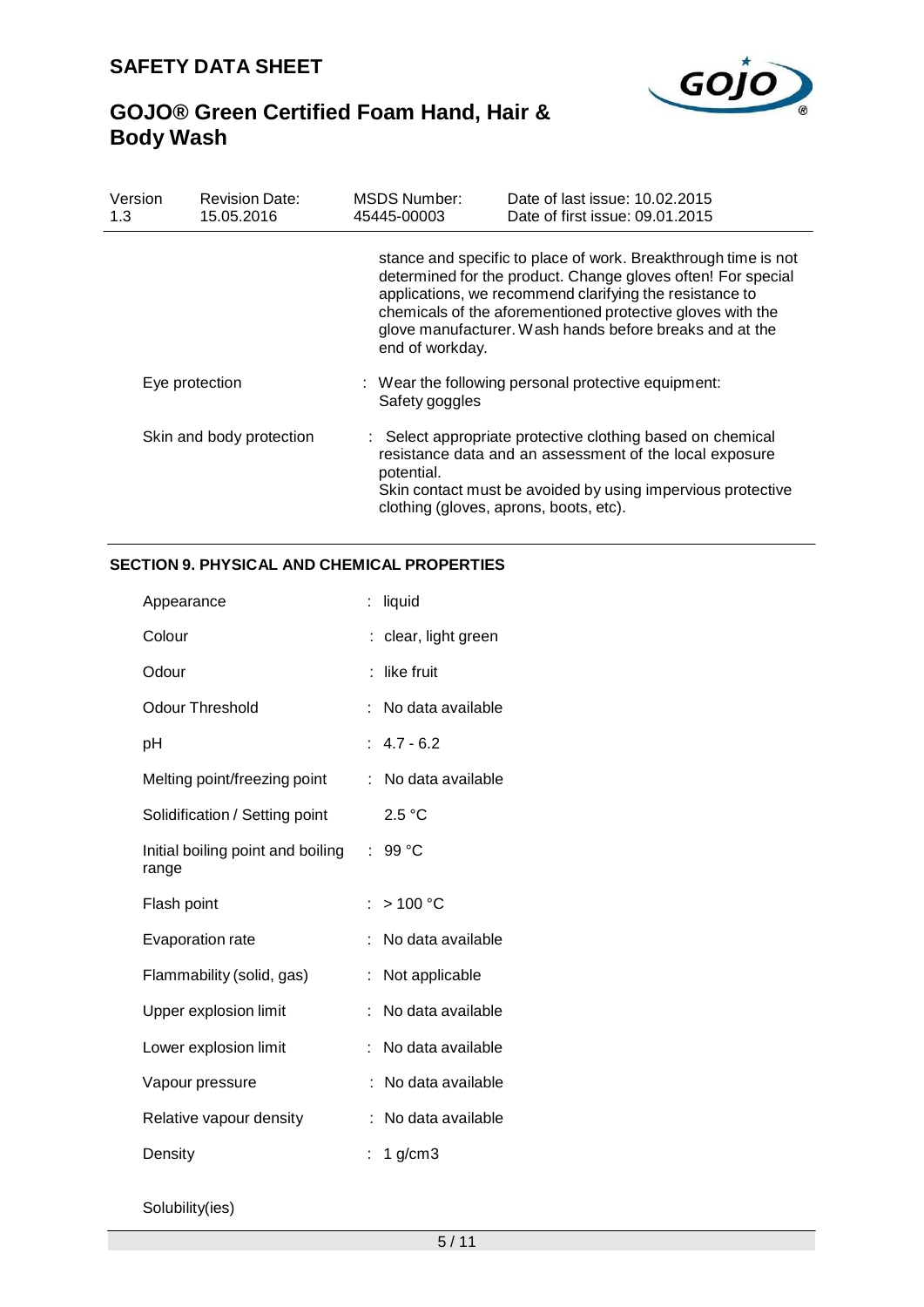

| Version<br>1.3           | <b>Revision Date:</b><br>15.05.2016 | MSDS Number:<br>45445-00003 | Date of last issue: 10.02.2015<br>Date of first issue: 09.01.2015                                                                                                                                                                                                                                                  |
|--------------------------|-------------------------------------|-----------------------------|--------------------------------------------------------------------------------------------------------------------------------------------------------------------------------------------------------------------------------------------------------------------------------------------------------------------|
|                          |                                     | end of workday.             | stance and specific to place of work. Breakthrough time is not<br>determined for the product. Change gloves often! For special<br>applications, we recommend clarifying the resistance to<br>chemicals of the aforementioned protective gloves with the<br>glove manufacturer. Wash hands before breaks and at the |
| Eye protection           |                                     | Safety goggles              | : Wear the following personal protective equipment:                                                                                                                                                                                                                                                                |
| Skin and body protection |                                     | potential.                  | : Select appropriate protective clothing based on chemical<br>resistance data and an assessment of the local exposure<br>Skin contact must be avoided by using impervious protective<br>clothing (gloves, aprons, boots, etc).                                                                                     |

## **SECTION 9. PHYSICAL AND CHEMICAL PROPERTIES**

| Appearance                                 | liquid                  |
|--------------------------------------------|-------------------------|
| Colour                                     | clear, light green      |
| Odour                                      | like fruit              |
| <b>Odour Threshold</b>                     | No data available<br>t. |
| рH                                         | $: 4.7 - 6.2$           |
| Melting point/freezing point               | No data available       |
| Solidification / Setting point             | 2.5 °C                  |
| Initial boiling point and boiling<br>range | 99 °C<br>t.             |
| Flash point                                | >100 °C<br>ŧ.           |
| <b>Evaporation rate</b>                    | No data available       |
| Flammability (solid, gas)                  | Not applicable<br>t     |
| Upper explosion limit                      | No data available<br>÷  |
| Lower explosion limit                      | No data available       |
| Vapour pressure                            | No data available       |
| Relative vapour density                    | No data available       |
| Density                                    | 1 $g/cm3$               |

Solubility(ies)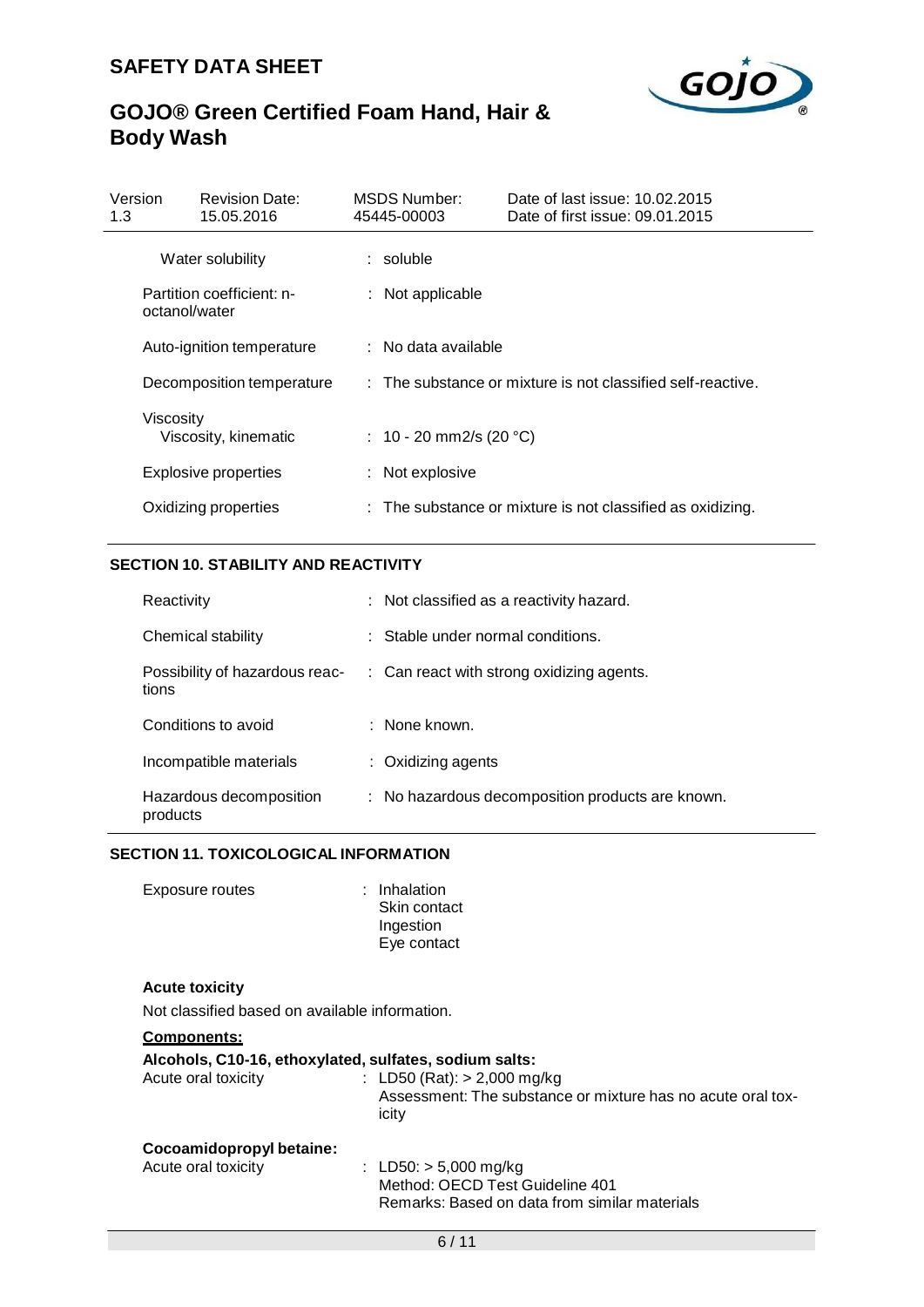

| Version<br>1.3                             | <b>Revision Date:</b><br>15.05.2016 | MSDS Number:<br>45445-00003 | Date of last issue: 10.02.2015<br>Date of first issue: 09.01.2015 |
|--------------------------------------------|-------------------------------------|-----------------------------|-------------------------------------------------------------------|
| Water solubility                           |                                     | $:$ soluble                 |                                                                   |
| Partition coefficient: n-<br>octanol/water |                                     | : Not applicable            |                                                                   |
|                                            | Auto-ignition temperature           | : No data available         |                                                                   |
| Decomposition temperature                  |                                     |                             | : The substance or mixture is not classified self-reactive.       |
| Viscosity<br>Viscosity, kinematic          |                                     | : 10 - 20 mm2/s (20 °C)     |                                                                   |
|                                            | <b>Explosive properties</b>         | : Not explosive             |                                                                   |
| Oxidizing properties                       |                                     |                             | : The substance or mixture is not classified as oxidizing.        |

## **SECTION 10. STABILITY AND REACTIVITY**

| Reactivity                              | : Not classified as a reactivity hazard.             |
|-----------------------------------------|------------------------------------------------------|
| Chemical stability                      | : Stable under normal conditions.                    |
| Possibility of hazardous reac-<br>tions | $\therefore$ Can react with strong oxidizing agents. |
| Conditions to avoid                     | $:$ None known.                                      |
| Incompatible materials                  | $:$ Oxidizing agents                                 |
| Hazardous decomposition<br>products     | : No hazardous decomposition products are known.     |

## **SECTION 11. TOXICOLOGICAL INFORMATION**

| : Inhalation |
|--------------|
| Skin contact |
| Ingestion    |
| Eye contact  |
|              |

### **Acute toxicity**

Not classified based on available information.

## **Components: Alcohols, C10-16, ethoxylated, sulfates, sodium salts:**  $\therefore$  LD50 (Rat): > 2,000 mg/kg Assessment: The substance or mixture has no acute oral toxicity **Cocoamidopropyl betaine:**  $LD50: > 5,000 \text{ mg/kg}$ Method: OECD Test Guideline 401 Remarks: Based on data from similar materials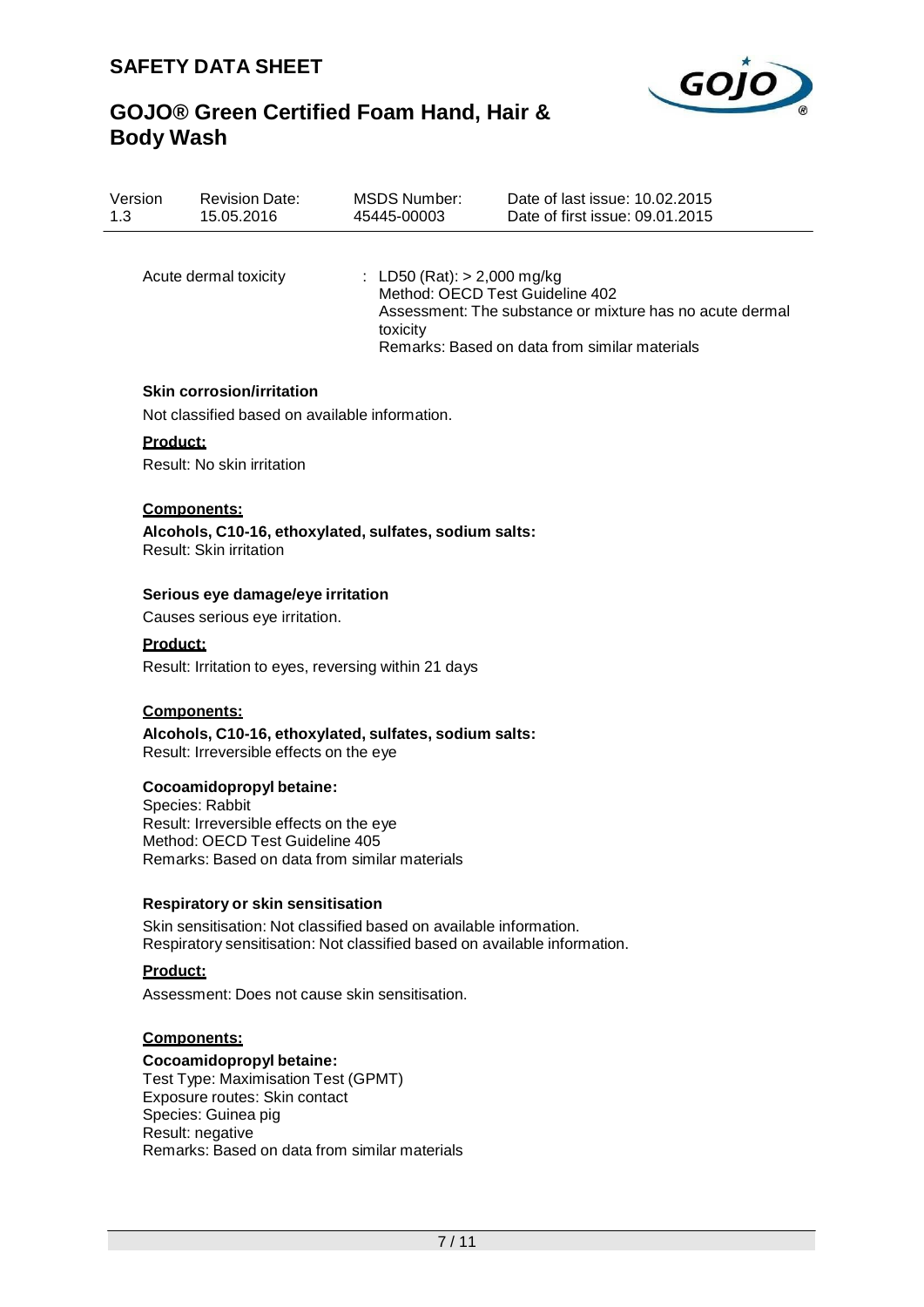

| Version | <b>Revision Date:</b> | <b>MSDS Number:</b>                       | Date of last issue: 10.02.2015                                                                                                               |
|---------|-----------------------|-------------------------------------------|----------------------------------------------------------------------------------------------------------------------------------------------|
| 1.3     | 15.05.2016            | 45445-00003                               | Date of first issue: 09.01.2015                                                                                                              |
|         | Acute dermal toxicity | : LD50 (Rat): $> 2,000$ mg/kg<br>toxicity | Method: OECD Test Guideline 402<br>Assessment: The substance or mixture has no acute dermal<br>Remarks: Based on data from similar materials |

### **Skin corrosion/irritation**

Not classified based on available information.

### **Product:**

Result: No skin irritation

#### **Components:**

**Alcohols, C10-16, ethoxylated, sulfates, sodium salts:** Result: Skin irritation

### **Serious eye damage/eye irritation**

Causes serious eye irritation.

#### **Product:**

Result: Irritation to eyes, reversing within 21 days

#### **Components:**

**Alcohols, C10-16, ethoxylated, sulfates, sodium salts:** Result: Irreversible effects on the eye

#### **Cocoamidopropyl betaine:**

Species: Rabbit Result: Irreversible effects on the eye Method: OECD Test Guideline 405 Remarks: Based on data from similar materials

### **Respiratory or skin sensitisation**

Skin sensitisation: Not classified based on available information. Respiratory sensitisation: Not classified based on available information.

### **Product:**

Assessment: Does not cause skin sensitisation.

#### **Components:**

### **Cocoamidopropyl betaine:**

Test Type: Maximisation Test (GPMT) Exposure routes: Skin contact Species: Guinea pig Result: negative Remarks: Based on data from similar materials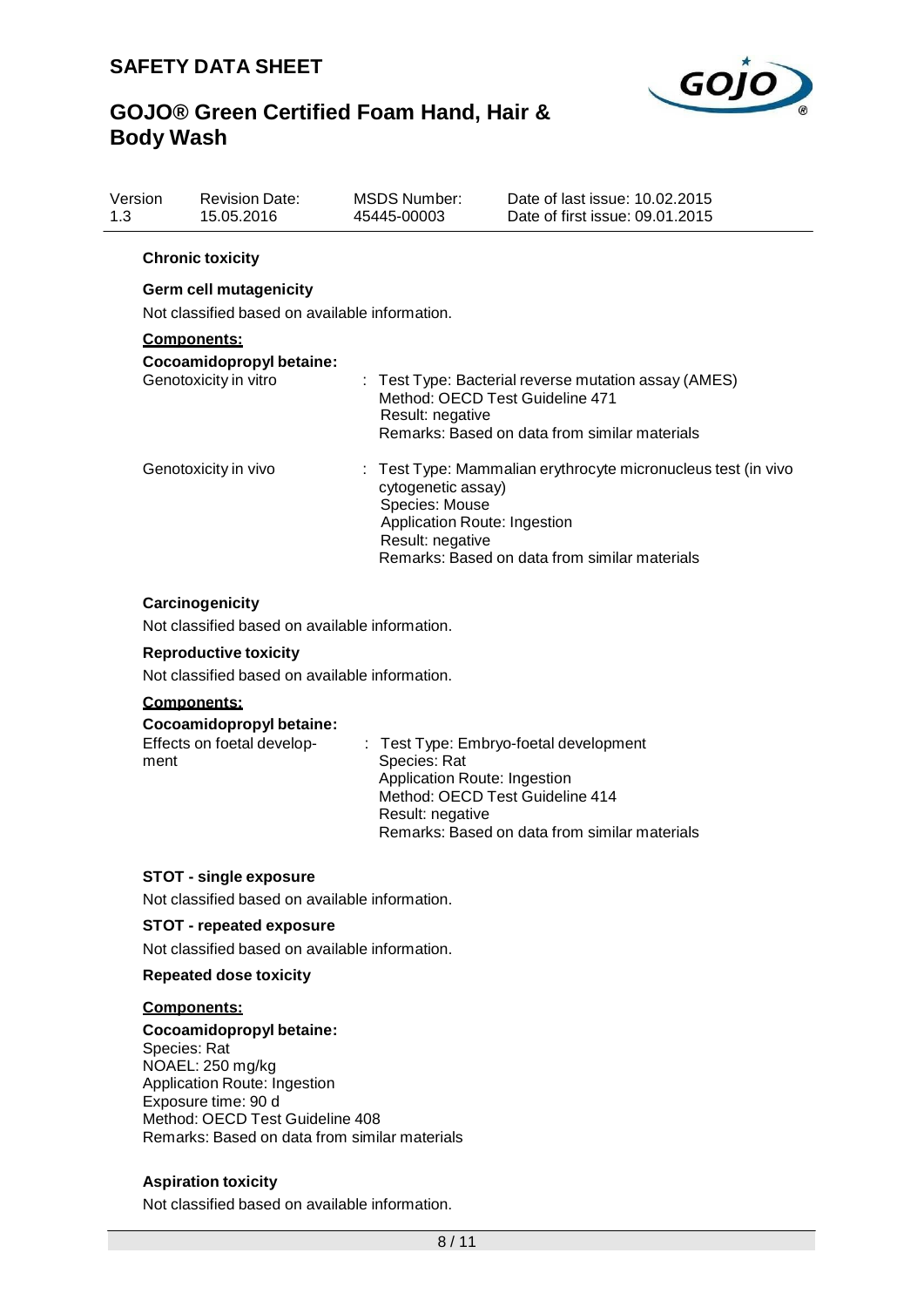

| Version<br>1.3 | <b>Revision Date:</b><br>15.05.2016                                             | MSDS Number:<br>45445-00003 | Date of last issue: 10.02.2015<br>Date of first issue: 09.01.2015                                                                                                                                          |  |
|----------------|---------------------------------------------------------------------------------|-----------------------------|------------------------------------------------------------------------------------------------------------------------------------------------------------------------------------------------------------|--|
|                | <b>Chronic toxicity</b>                                                         |                             |                                                                                                                                                                                                            |  |
|                | <b>Germ cell mutagenicity</b><br>Not classified based on available information. |                             |                                                                                                                                                                                                            |  |
|                | <b>Components:</b><br>Cocoamidopropyl betaine:<br>Genotoxicity in vitro         | Result: negative            | : Test Type: Bacterial reverse mutation assay (AMES)<br>Method: OECD Test Guideline 471<br>Remarks: Based on data from similar materials                                                                   |  |
|                | Genotoxicity in vivo                                                            |                             | : Test Type: Mammalian erythrocyte micronucleus test (in vivo<br>cytogenetic assay)<br>Species: Mouse<br>Application Route: Ingestion<br>Result: negative<br>Remarks: Based on data from similar materials |  |

### **Carcinogenicity**

Not classified based on available information.

### **Reproductive toxicity**

Not classified based on available information.

## **Components:**

| Cocoamidopropyl betaine:   |                                                   |
|----------------------------|---------------------------------------------------|
| Effects on foetal develop- | $\therefore$ Test Type: Embryo-foetal development |
| ment                       | Species: Rat                                      |
|                            | Application Route: Ingestion                      |
|                            | Method: OECD Test Guideline 414                   |
|                            | Result: negative                                  |
|                            | Remarks: Based on data from similar materials     |
|                            |                                                   |

### **STOT - single exposure**

Not classified based on available information.

## **STOT - repeated exposure**

Not classified based on available information.

#### **Repeated dose toxicity**

#### **Components:**

**Cocoamidopropyl betaine:** Species: Rat NOAEL: 250 mg/kg Application Route: Ingestion Exposure time: 90 d Method: OECD Test Guideline 408 Remarks: Based on data from similar materials

## **Aspiration toxicity**

Not classified based on available information.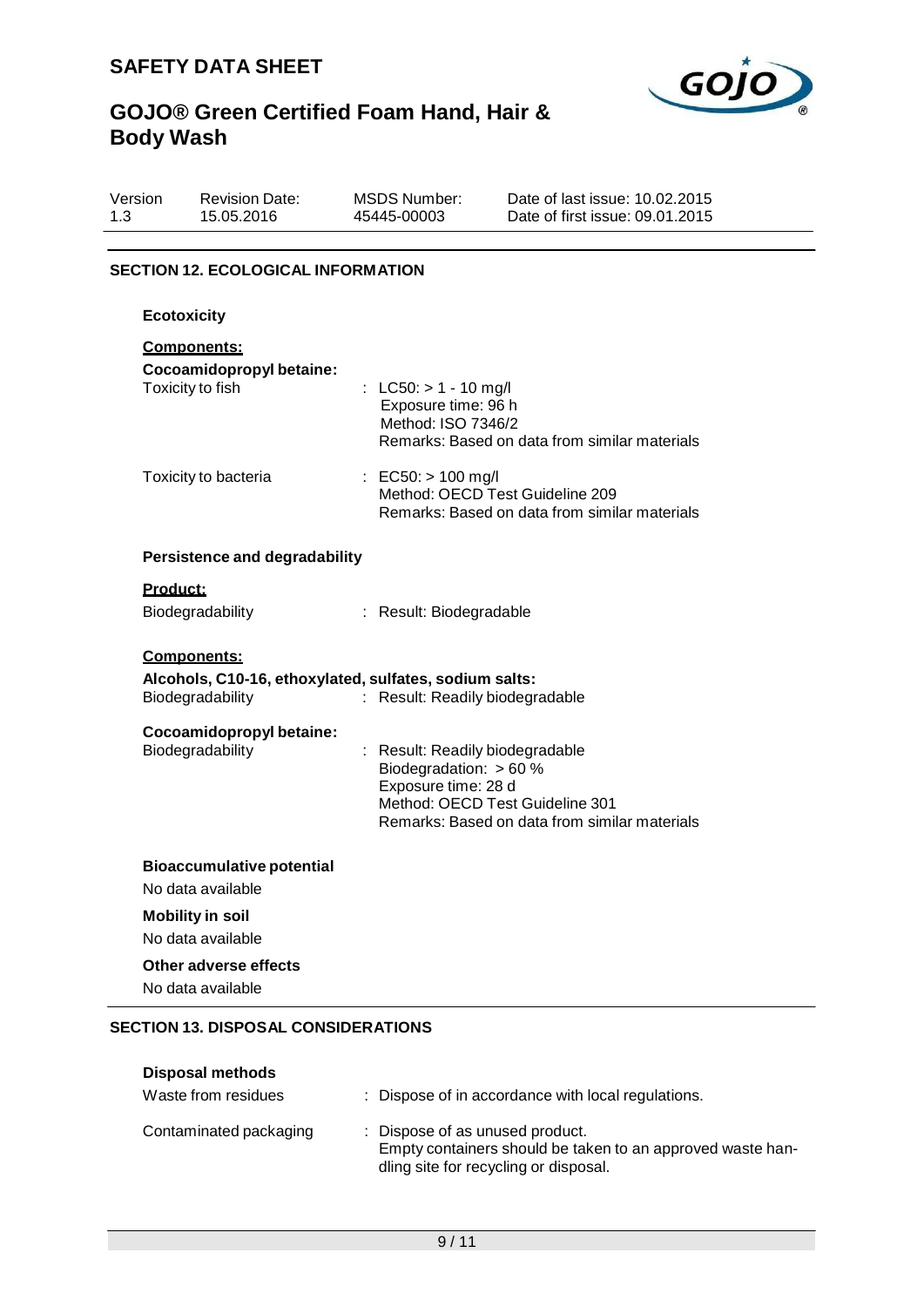

| Version | <b>Revision Date:</b> | MSDS Number: | Date of last issue: 10.02.2015  |
|---------|-----------------------|--------------|---------------------------------|
| 1.3     | 15.05.2016            | 45445-00003  | Date of first issue: 09.01.2015 |
|         |                       |              |                                 |

## **SECTION 12. ECOLOGICAL INFORMATION**

| <b>Ecotoxicity</b>                                                                        |                                                                                                                                                                        |
|-------------------------------------------------------------------------------------------|------------------------------------------------------------------------------------------------------------------------------------------------------------------------|
| <b>Components:</b><br>Cocoamidopropyl betaine:<br>Toxicity to fish                        | : LC50: $> 1 - 10$ mg/l<br>Exposure time: 96 h<br>Method: ISO 7346/2<br>Remarks: Based on data from similar materials                                                  |
| Toxicity to bacteria                                                                      | : EC50: $> 100$ mg/l<br>Method: OECD Test Guideline 209<br>Remarks: Based on data from similar materials                                                               |
| <b>Persistence and degradability</b>                                                      |                                                                                                                                                                        |
| Product:                                                                                  |                                                                                                                                                                        |
| Biodegradability                                                                          | : Result: Biodegradable                                                                                                                                                |
| Components:<br>Alcohols, C10-16, ethoxylated, sulfates, sodium salts:<br>Biodegradability | Result: Readily biodegradable                                                                                                                                          |
| Cocoamidopropyl betaine:<br>Biodegradability                                              | : Result: Readily biodegradable<br>Biodegradation: $> 60$ %<br>Exposure time: 28 d<br>Method: OECD Test Guideline 301<br>Remarks: Based on data from similar materials |
| <b>Bioaccumulative potential</b><br>No data available                                     |                                                                                                                                                                        |
| <b>Mobility in soil</b>                                                                   |                                                                                                                                                                        |
| No data available                                                                         |                                                                                                                                                                        |
| Other adverse effects                                                                     |                                                                                                                                                                        |
| No data available                                                                         |                                                                                                                                                                        |

## **SECTION 13. DISPOSAL CONSIDERATIONS**

| <b>Disposal methods</b> |                                                                                                                                        |
|-------------------------|----------------------------------------------------------------------------------------------------------------------------------------|
| Waste from residues     | : Dispose of in accordance with local regulations.                                                                                     |
| Contaminated packaging  | : Dispose of as unused product.<br>Empty containers should be taken to an approved waste han-<br>dling site for recycling or disposal. |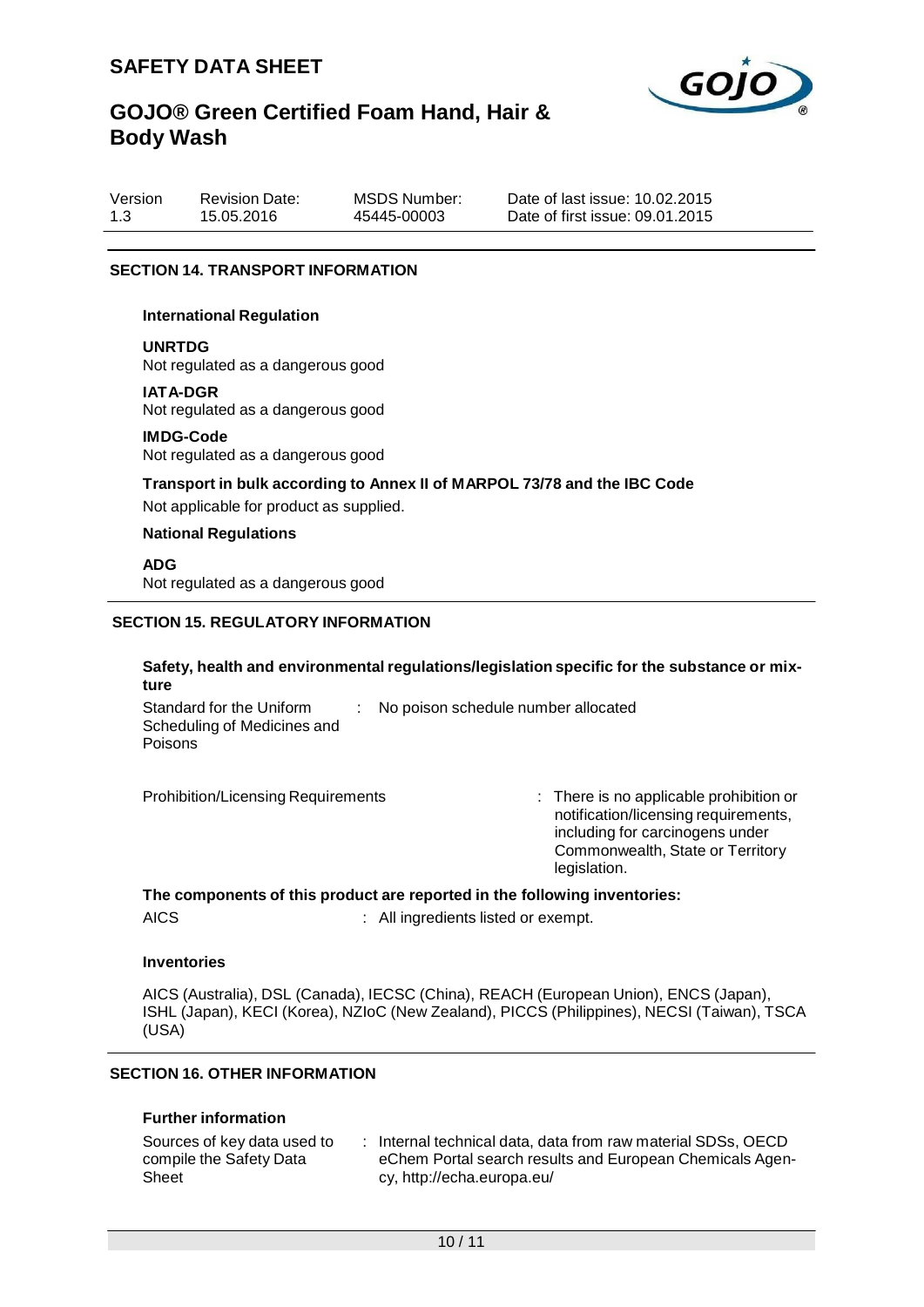

| Version | <b>Revision Date:</b> |   |
|---------|-----------------------|---|
| 1.3     | 15.05.2016            | 4 |

MSDS Number: 45445-00003

Date of last issue: 10.02.2015 Date of first issue: 09.01.2015

## **SECTION 14. TRANSPORT INFORMATION**

#### **International Regulation**

**UNRTDG**

Not regulated as a dangerous good

#### **IATA-DGR**

Not regulated as a dangerous good

#### **IMDG-Code**

Not regulated as a dangerous good

#### **Transport in bulk according to Annex II of MARPOL 73/78 and the IBC Code**

Not applicable for product as supplied.

#### **National Regulations**

**ADG**

Not regulated as a dangerous good

### **SECTION 15. REGULATORY INFORMATION**

## **Safety, health and environmental regulations/legislation specific for the substance or mixture**

Standard for the Uniform Scheduling of Medicines and Poisons : No poison schedule number allocated

Prohibition/Licensing Requirements : There is no applicable prohibition or notification/licensing requirements, including for carcinogens under Commonwealth, State or Territory legislation.

#### **The components of this product are reported in the following inventories:**

AICS : All ingredients listed or exempt.

#### **Inventories**

AICS (Australia), DSL (Canada), IECSC (China), REACH (European Union), ENCS (Japan), ISHL (Japan), KECI (Korea), NZIoC (New Zealand), PICCS (Philippines), NECSI (Taiwan), TSCA (USA)

## **SECTION 16. OTHER INFORMATION**

#### **Further information**

| Sources of key data used to | : Internal technical data, data from raw material SDSs, OECD |
|-----------------------------|--------------------------------------------------------------|
| compile the Safety Data     | eChem Portal search results and European Chemicals Agen-     |
| Sheet                       | cy, http://echa.europa.eu/                                   |